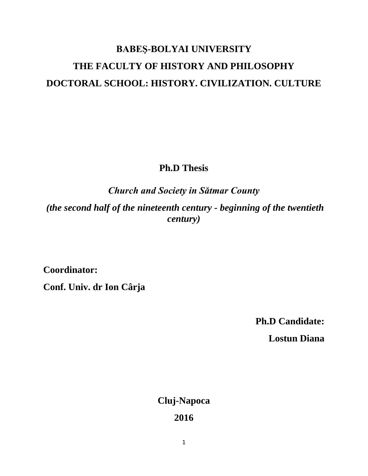## **BABEŞ-BOLYAI UNIVERSITY THE FACULTY OF HISTORY AND PHILOSOPHY DOCTORAL SCHOOL: HISTORY. CIVILIZATION. CULTURE**

**Ph.D Thesis**

*Church and Society in Sătmar County*

*(the second half of the nineteenth century - beginning of the twentieth century)*

**Coordinator:**

**Conf. Univ. dr Ion Cârja**

**Ph.D Candidate:**

**Lostun Diana**

**Cluj-Napoca**

**2016**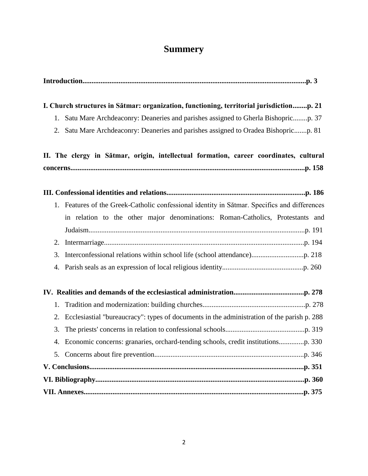## **Summery**

| I. Church structures in Sătmar: organization, functioning, territorial jurisdictionp. 21 |                                                                                              |
|------------------------------------------------------------------------------------------|----------------------------------------------------------------------------------------------|
|                                                                                          |                                                                                              |
|                                                                                          | 2. Satu Mare Archdeaconry: Deaneries and parishes assigned to Oradea Bishopricp. 81          |
|                                                                                          | II. The clergy in Sătmar, origin, intellectual formation, career coordinates, cultural       |
|                                                                                          |                                                                                              |
|                                                                                          |                                                                                              |
|                                                                                          | 1. Features of the Greek-Catholic confessional identity in Sătmar. Specifics and differences |
|                                                                                          | in relation to the other major denominations: Roman-Catholics, Protestants and               |
|                                                                                          |                                                                                              |
| 2.                                                                                       |                                                                                              |
| 3.                                                                                       |                                                                                              |
| 4.                                                                                       |                                                                                              |
|                                                                                          |                                                                                              |
| 1.                                                                                       |                                                                                              |
| 2.                                                                                       | Ecclesiastial "bureaucracy": types of documents in the administration of the parish p. 288   |
| 3.                                                                                       |                                                                                              |
|                                                                                          |                                                                                              |
|                                                                                          |                                                                                              |
|                                                                                          |                                                                                              |
|                                                                                          |                                                                                              |
|                                                                                          |                                                                                              |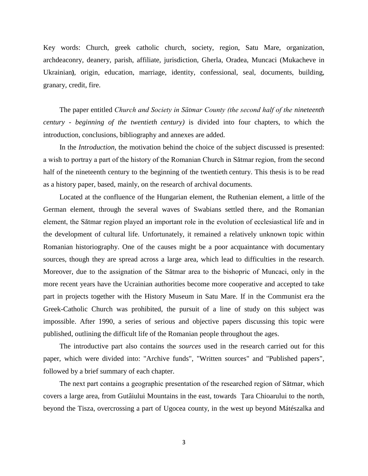Key words: Church, greek catholic church, society, region, Satu Mare, organization, archdeaconry, deanery, parish, affiliate, jurisdiction, Gherla, Oradea, Muncaci (Mukacheve in Ukrainian**)**, origin, education, marriage, identity, confessional, seal, documents, building, granary, credit, fire.

The paper entitled *Church and Society in Sătmar County (the second half of the nineteenth century - beginning of the twentieth century)* is divided into four chapters, to which the introduction, conclusions, bibliography and annexes are added.

In the *Introduction*, the motivation behind the choice of the subject discussed is presented: a wish to portray a part of the history of the Romanian Church in Sătmar region, from the second half of the nineteenth century to the beginning of the twentieth century. This thesis is to be read as a history paper, based, mainly, on the research of archival documents.

Located at the confluence of the Hungarian element, the Ruthenian element, a little of the German element, through the several waves of Swabians settled there, and the Romanian element, the Sătmar region played an important role in the evolution of ecclesiastical life and in the development of cultural life. Unfortunately, it remained a relatively unknown topic within Romanian historiography. One of the causes might be a poor acquaintance with documentary sources, though they are spread across a large area, which lead to difficulties in the research. Moreover, due to the assignation of the Sătmar area to the bishopric of Muncaci, only in the more recent years have the Ucrainian authorities become more cooperative and accepted to take part in projects together with the History Museum in Satu Mare. If in the Communist era the Greek-Catholic Church was prohibited, the pursuit of a line of study on this subject was impossible. After 1990, a series of serious and objective papers discussing this topic were published, outlining the difficult life of the Romanian people throughout the ages.

The introductive part also contains the *sources* used in the research carried out for this paper, which were divided into: "Archive funds", "Written sources" and "Published papers", followed by a brief summary of each chapter.

The next part contains a geographic presentation of the researched region of Sătmar, which covers a large area, from Gutâiului Mountains in the east, towards Țara Chioarului to the north, beyond the Tisza, overcrossing a part of Ugocea county, in the west up beyond Mátészalka and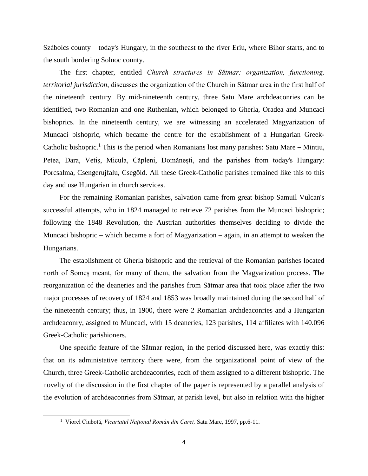Szábolcs county – today's Hungary, in the southeast to the river Eriu, where Bihor starts, and to the south bordering Solnoc county.

The first chapter, entitled *Church structures in Sătmar: organization, functioning, territorial jurisdiction*, discusses the organization of the Church in Sătmar area in the first half of the nineteenth century. By mid-nineteenth century, three Satu Mare archdeaconries can be identified, two Romanian and one Ruthenian, which belonged to Gherla, Oradea and Muncaci bishoprics. In the nineteenth century, we are witnessing an accelerated Magyarization of Muncaci bishopric, which became the centre for the establishment of a Hungarian Greek-Catholic bishopric.<sup>1</sup> This is the period when Romanians lost many parishes: Satu Mare – Mintiu, Petea, Dara, Vetiș, Micula, Căpleni, Domănești, and the parishes from today's Hungary: Porcsalma, Csengerujfalu, Csegöld. All these Greek-Catholic parishes remained like this to this day and use Hungarian in church services.

For the remaining Romanian parishes, salvation came from great bishop Samuil Vulcan's successful attempts, who in 1824 managed to retrieve 72 parishes from the Muncaci bishopric; following the 1848 Revolution, the Austrian authorities themselves deciding to divide the Muncaci bishopric – which became a fort of Magyarization – again, in an attempt to weaken the Hungarians.

The establishment of Gherla bishopric and the retrieval of the Romanian parishes located north of Someș meant, for many of them, the salvation from the Magyarization process. The reorganization of the deaneries and the parishes from Sătmar area that took place after the two major processes of recovery of 1824 and 1853 was broadly maintained during the second half of the nineteenth century; thus, in 1900, there were 2 Romanian archdeaconries and a Hungarian archdeaconry, assigned to Muncaci, with 15 deaneries, 123 parishes, 114 affiliates with 140.096 Greek-Catholic parishioners.

One specific feature of the Sătmar region, in the period discussed here, was exactly this: that on its administative territory there were, from the organizational point of view of the Church, three Greek-Catholic archdeaconries, each of them assigned to a different bishopric. The novelty of the discussion in the first chapter of the paper is represented by a parallel analysis of the evolution of archdeaconries from Sătmar, at parish level, but also in relation with the higher

l

<sup>1</sup> Viorel Ciubotă, *Vicariatul Național Român din Carei,* Satu Mare, 1997, pp.6-11.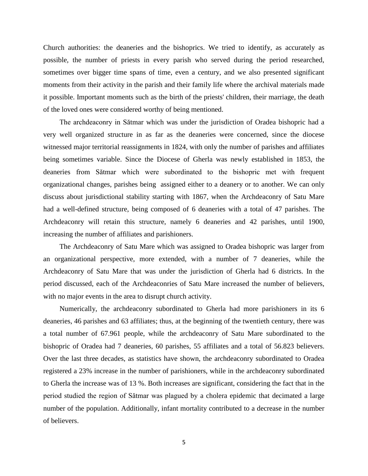Church authorities: the deaneries and the bishoprics. We tried to identify, as accurately as possible, the number of priests in every parish who served during the period researched, sometimes over bigger time spans of time, even a century, and we also presented significant moments from their activity in the parish and their family life where the archival materials made it possible. Important moments such as the birth of the priests' children, their marriage, the death of the loved ones were considered worthy of being mentioned.

The archdeaconry in Sătmar which was under the jurisdiction of Oradea bishopric had a very well organized structure in as far as the deaneries were concerned, since the diocese witnessed major territorial reassignments in 1824, with only the number of parishes and affiliates being sometimes variable. Since the Diocese of Gherla was newly established in 1853, the deaneries from Sătmar which were subordinated to the bishopric met with frequent organizational changes, parishes being assigned either to a deanery or to another. We can only discuss about jurisdictional stability starting with 1867, when the Archdeaconry of Satu Mare had a well-defined structure, being composed of 6 deaneries with a total of 47 parishes. The Archdeaconry will retain this structure, namely 6 deaneries and 42 parishes, until 1900, increasing the number of affiliates and parishioners.

The Archdeaconry of Satu Mare which was assigned to Oradea bishopric was larger from an organizational perspective, more extended, with a number of 7 deaneries, while the Archdeaconry of Satu Mare that was under the jurisdiction of Gherla had 6 districts. In the period discussed, each of the Archdeaconries of Satu Mare increased the number of believers, with no major events in the area to disrupt church activity.

Numerically, the archdeaconry subordinated to Gherla had more parishioners in its 6 deaneries, 46 parishes and 63 affiliates; thus, at the beginning of the twentieth century, there was a total number of 67.961 people, while the archdeaconry of Satu Mare subordinated to the bishopric of Oradea had 7 deaneries, 60 parishes, 55 affiliates and a total of 56.823 believers. Over the last three decades, as statistics have shown, the archdeaconry subordinated to Oradea registered a 23% increase in the number of parishioners, while in the archdeaconry subordinated to Gherla the increase was of 13 %. Both increases are significant, considering the fact that in the period studied the region of Sătmar was plagued by a cholera epidemic that decimated a large number of the population. Additionally, infant mortality contributed to a decrease in the number of believers.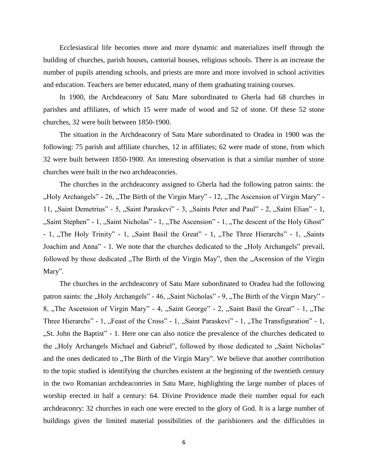Ecclesiastical life becomes more and more dynamic and materializes itself through the building of churches, parish houses, cantorial houses, religious schools. There is an increase the number of pupils attending schools, and priests are more and more involved in school activities and education. Teachers are better educated, many of them graduating training courses.

In 1900, the Archdeaconry of Satu Mare subordinated to Gherla had 68 churches in parishes and affiliates, of which 15 were made of wood and 52 of stone. Of these 52 stone churches, 32 were built between 1850-1900.

The situation in the Archdeaconry of Satu Mare subordinated to Oradea in 1900 was the following: 75 parish and affiliate churches, 12 in affiliates; 62 were made of stone, from which 32 were built between 1850-1900. An interesting observation is that a similar number of stone churches were built in the two archdeaconries.

The churches in the archdeaconry assigned to Gherla had the following patron saints: the "Holy Archangels" - 26, "The Birth of the Virgin Mary" - 12, "The Ascension of Virgin Mary" -11, "Saint Demetrius" - 5, "Saint Paraskevi" - 3, "Saints Peter and Paul" - 2, "Saint Elian" - 1, "Saint Stephen" - 1, "Saint Nicholas" - 1, "The Ascension" - 1, "The descent of the Holy Ghost" - 1, "The Holy Trinity" - 1, "Saint Basil the Great" - 1, "The Three Hierarchs" - 1, "Saints" Joachim and Anna" - 1. We note that the churches dedicated to the "Holy Archangels" prevail, followed by those dedicated "The Birth of the Virgin May", then the "Ascension of the Virgin" Mary".

The churches in the archdeaconry of Satu Mare subordinated to Oradea had the following patron saints: the "Holy Archangels" - 46, "Saint Nicholas" - 9, "The Birth of the Virgin Mary" -8, "The Ascension of Virgin Mary" - 4, "Saint George" - 2, "Saint Basil the Great" - 1, "The Three Hierarchs" - 1, "Feast of the Cross" - 1, "Saint Paraskevi" - 1, "The Transfiguration" - 1, "St. John the Baptist" - 1. Here one can also notice the prevalence of the churches dedicated to the "Holy Archangels Michael and Gabriel", followed by those dedicated to "Saint Nicholas" and the ones dedicated to "The Birth of the Virgin Mary". We believe that another contribution to the topic studied is identifying the churches existent at the beginning of the twentieth century in the two Romanian archdeaconries in Satu Mare, highlighting the large number of places of worship erected in half a century: 64. Divine Providence made their number equal for each archdeaconry: 32 churches in each one were erected to the glory of God. It is a large number of buildings given the limited material possibilities of the parishioners and the difficulties in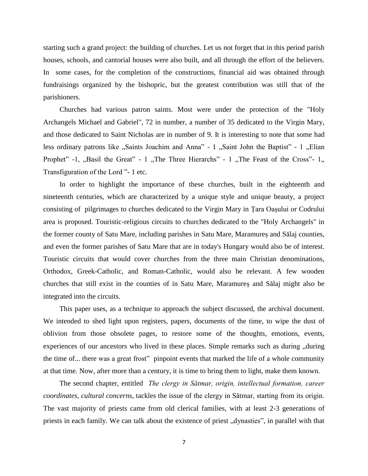starting such a grand project: the building of churches. Let us not forget that in this period parish houses, schools, and cantorial houses were also built, and all through the effort of the believers. In some cases, for the completion of the constructions, financial aid was obtained through fundraisings organized by the bishopric, but the greatest contribution was still that of the parishioners.

Churches had various patron saints. Most were under the protection of the "Holy Archangels Michael and Gabriel", 72 in number, a number of 35 dedicated to the Virgin Mary, and those dedicated to Saint Nicholas are in number of 9. It is interesting to note that some had less ordinary patrons like "Saints Joachim and Anna" - 1 "Saint John the Baptist" - 1 "Elian Prophet" -1, "Basil the Great" - 1, "The Three Hierarchs" - 1, "The Feast of the Cross"- 1, Transfiguration of the Lord "- 1 etc.

In order to highlight the importance of these churches, built in the eighteenth and nineteenth centuries, which are characterized by a unique style and unique beauty, a project consisting of pilgrimages to churches dedicated to the Virgin Mary in Țara Oașului or Codrului area is proposed. Touristic-religious circuits to churches dedicated to the "Holy Archangels" in the former county of Satu Mare, including parishes in Satu Mare, Maramureș and Sălaj counties, and even the former parishes of Satu Mare that are in today's Hungary would also be of interest. Touristic circuits that would cover churches from the three main Christian denominations, Orthodox, Greek-Catholic, and Roman-Catholic, would also be relevant. A few wooden churches that still exist in the counties of in Satu Mare, Maramureș and Sălaj might also be integrated into the circuits.

This paper uses, as a technique to approach the subject discussed, the archival document. We intended to shed light upon registers, papers, documents of the time, to wipe the dust of oblivion from those obsolete pages, to restore some of the thoughts, emotions, events, experiences of our ancestors who lived in these places. Simple remarks such as during ", during the time of... there was a great frost" pinpoint events that marked the life of a whole community at that time. Now, after more than a century, it is time to bring them to light, make them known.

The second chapter, entitled *The clergy in Sătmar, origin, intellectual formation, career coordinates, cultural concerns*, tackles the issue of the clergy in Sătmar, starting from its origin. The vast majority of priests came from old clerical families, with at least 2-3 generations of priests in each family. We can talk about the existence of priest, dynasties", in parallel with that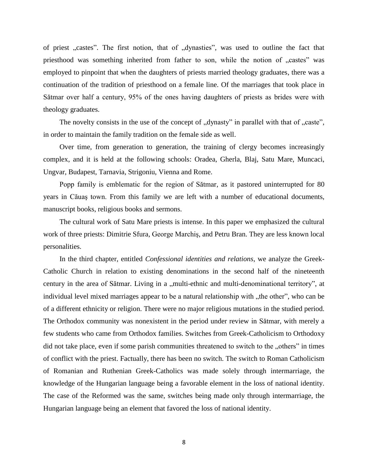of priest "castes". The first notion, that of "dynasties", was used to outline the fact that priesthood was something inherited from father to son, while the notion of "castes" was employed to pinpoint that when the daughters of priests married theology graduates, there was a continuation of the tradition of priesthood on a female line. Of the marriages that took place in Sătmar over half a century, 95% of the ones having daughters of priests as brides were with theology graduates.

The novelty consists in the use of the concept of "dynasty" in parallel with that of "caste", in order to maintain the family tradition on the female side as well.

Over time, from generation to generation, the training of clergy becomes increasingly complex, and it is held at the following schools: Oradea, Gherla, Blaj, Satu Mare, Muncaci, Ungvar, Budapest, Tarnavia, Strigoniu, Vienna and Rome.

Popp family is emblematic for the region of Sătmar, as it pastored uninterrupted for 80 years in Căuaş town. From this family we are left with a number of educational documents, manuscript books, religious books and sermons.

The cultural work of Satu Mare priests is intense. In this paper we emphasized the cultural work of three priests: Dimitrie Sfura, George Marchiş, and Petru Bran. They are less known local personalities.

In the third chapter, entitled *Confessional identities and relations*, we analyze the Greek-Catholic Church in relation to existing denominations in the second half of the nineteenth century in the area of Sătmar. Living in a "multi-ethnic and multi-denominational territory", at individual level mixed marriages appear to be a natural relationship with the other", who can be of a different ethnicity or religion. There were no major religious mutations in the studied period. The Orthodox community was nonexistent in the period under review in Sătmar, with merely a few students who came from Orthodox families. Switches from Greek-Catholicism to Orthodoxy did not take place, even if some parish communities threatened to switch to the "others" in times of conflict with the priest. Factually, there has been no switch. The switch to Roman Catholicism of Romanian and Ruthenian Greek-Catholics was made solely through intermarriage, the knowledge of the Hungarian language being a favorable element in the loss of national identity. The case of the Reformed was the same, switches being made only through intermarriage, the Hungarian language being an element that favored the loss of national identity.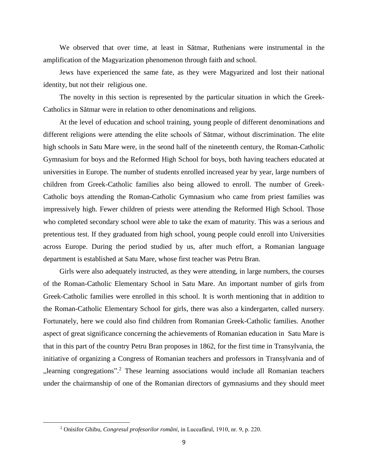We observed that over time, at least in Sătmar, Ruthenians were instrumental in the amplification of the Magyarization phenomenon through faith and school.

Jews have experienced the same fate, as they were Magyarized and lost their national identity, but not their religious one.

The novelty in this section is represented by the particular situation in which the Greek-Catholics in Sătmar were in relation to other denominations and religions.

At the level of education and school training, young people of different denominations and different religions were attending the elite schools of Sătmar, without discrimination. The elite high schools in Satu Mare were, in the seond half of the nineteenth century, the Roman-Catholic Gymnasium for boys and the Reformed High School for boys, both having teachers educated at universities in Europe. The number of students enrolled increased year by year, large numbers of children from Greek-Catholic families also being allowed to enroll. The number of Greek-Catholic boys attending the Roman-Catholic Gymnasium who came from priest families was impressively high. Fewer children of priests were attending the Reformed High School. Those who completed secondary school were able to take the exam of maturity. This was a serious and pretentious test. If they graduated from high school, young people could enroll into Universities across Europe. During the period studied by us, after much effort, a Romanian language department is established at Satu Mare, whose first teacher was Petru Bran.

Girls were also adequately instructed, as they were attending, in large numbers, the courses of the Roman-Catholic Elementary School in Satu Mare. An important number of girls from Greek-Catholic families were enrolled in this school. It is worth mentioning that in addition to the Roman-Catholic Elementary School for girls, there was also a kindergarten, called nursery. Fortunately, here we could also find children from Romanian Greek-Catholic families. Another aspect of great significance concerning the achievements of Romanian education in Satu Mare is that in this part of the country Petru Bran proposes in 1862, for the first time in Transylvania, the initiative of organizing a Congress of Romanian teachers and professors in Transylvania and of  $n$ learning congregations".<sup>2</sup> These learning associations would include all Romanian teachers under the chairmanship of one of the Romanian directors of gymnasiums and they should meet

 $\overline{\phantom{a}}$ 

<sup>2</sup> Onisifor Ghibu, *Congresul profesorilor români,* in Luceafărul, 1910, nr. 9, p. 220.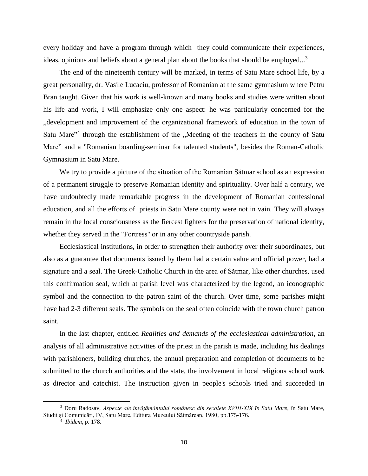every holiday and have a program through which they could communicate their experiences, ideas, opinions and beliefs about a general plan about the books that should be employed...<sup>3</sup>

The end of the nineteenth century will be marked, in terms of Satu Mare school life, by a great personality, dr. Vasile Lucaciu, professor of Romanian at the same gymnasium where Petru Bran taught. Given that his work is well-known and many books and studies were written about his life and work, I will emphasize only one aspect: he was particularly concerned for the "development and improvement of the organizational framework of education in the town of Satu Mare"<sup>4</sup> through the establishment of the "Meeting of the teachers in the county of Satu Mare" and a "Romanian boarding-seminar for talented students", besides the Roman-Catholic Gymnasium in Satu Mare.

We try to provide a picture of the situation of the Romanian Sătmar school as an expression of a permanent struggle to preserve Romanian identity and spirituality. Over half a century, we have undoubtedly made remarkable progress in the development of Romanian confessional education, and all the efforts of priests in Satu Mare county were not in vain. They will always remain in the local consciousness as the fiercest fighters for the preservation of national identity, whether they served in the "Fortress" or in any other countryside parish.

Ecclesiastical institutions, in order to strengthen their authority over their subordinates, but also as a guarantee that documents issued by them had a certain value and official power, had a signature and a seal. The Greek-Catholic Church in the area of Sătmar, like other churches, used this confirmation seal, which at parish level was characterized by the legend, an iconographic symbol and the connection to the patron saint of the church. Over time, some parishes might have had 2-3 different seals. The symbols on the seal often coincide with the town church patron saint.

In the last chapter, entitled *Realities and demands of the ecclesiastical administration*, an analysis of all administrative activities of the priest in the parish is made, including his dealings with parishioners, building churches, the annual preparation and completion of documents to be submitted to the church authorities and the state, the involvement in local religious school work as director and catechist. The instruction given in people's schools tried and succeeded in

 $\overline{\phantom{a}}$ 

<sup>3</sup> Doru Radosav, *Aspecte ale învățământului românesc din secolele XVIII-XIX în Satu Mare,* în Satu Mare, Studii și Comunicări, IV, Satu Mare, Editura Muzeului Sătmărean, 1980*,* pp.175-176.

<sup>4</sup> *Ibidem,* p. 178.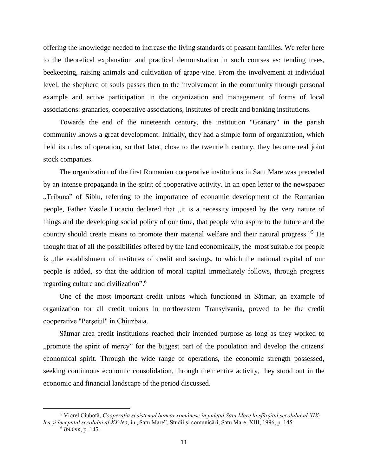offering the knowledge needed to increase the living standards of peasant families. We refer here to the theoretical explanation and practical demonstration in such courses as: tending trees, beekeeping, raising animals and cultivation of grape-vine. From the involvement at individual level, the shepherd of souls passes then to the involvement in the community through personal example and active participation in the organization and management of forms of local associations: granaries, cooperative associations, institutes of credit and banking institutions.

Towards the end of the nineteenth century, the institution "Granary" in the parish community knows a great development. Initially, they had a simple form of organization, which held its rules of operation, so that later, close to the twentieth century, they become real joint stock companies.

The organization of the first Romanian cooperative institutions in Satu Mare was preceded by an intense propaganda in the spirit of cooperative activity. In an open letter to the newspaper "Tribuna" of Sibiu, referring to the importance of economic development of the Romanian people, Father Vasile Lucaciu declared that "it is a necessity imposed by the very nature of things and the developing social policy of our time, that people who aspire to the future and the country should create means to promote their material welfare and their natural progress."<sup>5</sup> He thought that of all the possibilities offered by the land economically, the most suitable for people is , the establishment of institutes of credit and savings, to which the national capital of our people is added, so that the addition of moral capital immediately follows, through progress regarding culture and civilization". 6

One of the most important credit unions which functioned in Sătmar, an example of organization for all credit unions in northwestern Transylvania, proved to be the credit cooperative "Perşeiul" in Chiuzbaia.

Sătmar area credit institutions reached their intended purpose as long as they worked to ", promote the spirit of mercy" for the biggest part of the population and develop the citizens' economical spirit. Through the wide range of operations, the economic strength possessed, seeking continuous economic consolidation, through their entire activity, they stood out in the economic and financial landscape of the period discussed.

 $\overline{\phantom{a}}$ 

<sup>5</sup> Viorel Ciubotă, *Cooperația și sistemul bancar românesc în județul Satu Mare la sfârșitul secolului al XIXlea și începutul secolului al XX-lea,* in "Satu Mare", Studii și comunicări, Satu Mare, XIII, 1996, p. 145.

<sup>6</sup> *Ibidem,* p. 145.